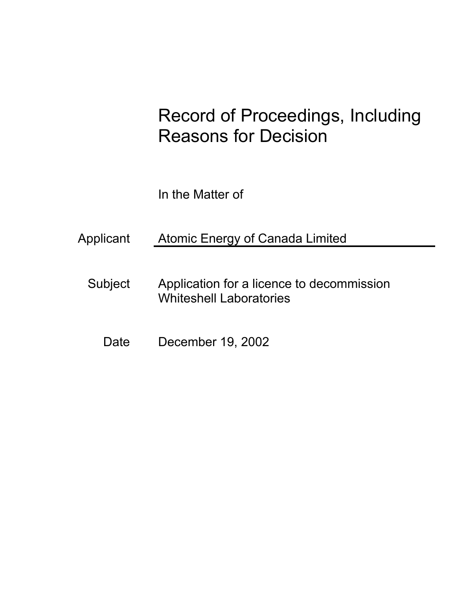# Record of Proceedings, Including Reasons for Decision

In the Matter of

Applicant Atomic Energy of Canada Limited

- Subject Application for a licence to decommission Whiteshell Laboratories
	- Date December 19, 2002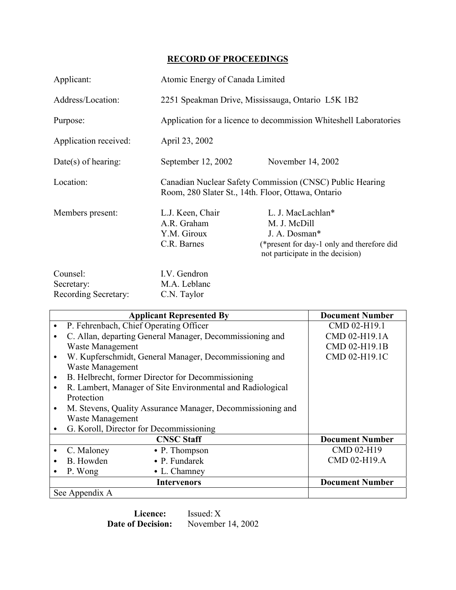# **RECORD OF PROCEEDINGS**

| Applicant:                                     | Atomic Energy of Canada Limited                                                                                |                                                                                                                                      |  |
|------------------------------------------------|----------------------------------------------------------------------------------------------------------------|--------------------------------------------------------------------------------------------------------------------------------------|--|
| Address/Location:                              | 2251 Speakman Drive, Mississauga, Ontario L5K 1B2                                                              |                                                                                                                                      |  |
| Purpose:                                       | Application for a licence to decommission Whiteshell Laboratories                                              |                                                                                                                                      |  |
| Application received:                          | April 23, 2002                                                                                                 |                                                                                                                                      |  |
| Date(s) of hearing:                            | September 12, 2002                                                                                             | November 14, 2002                                                                                                                    |  |
| Location:                                      | Canadian Nuclear Safety Commission (CNSC) Public Hearing<br>Room, 280 Slater St., 14th. Floor, Ottawa, Ontario |                                                                                                                                      |  |
| Members present:                               | L.J. Keen, Chair<br>A.R. Graham<br>Y.M. Giroux<br>C.R. Barnes                                                  | L. J. MacLachlan*<br>M. J. McDill<br>J. A. Dosman*<br>(*present for day-1 only and therefore did<br>not participate in the decision) |  |
| Counsel:<br>Secretary:<br>Recording Secretary: | I.V. Gendron<br>M.A. Leblanc<br>C.N. Taylor                                                                    |                                                                                                                                      |  |

| <b>Applicant Represented By</b> |                                                            |                                                            | <b>Document Number</b> |
|---------------------------------|------------------------------------------------------------|------------------------------------------------------------|------------------------|
| $\bullet$                       |                                                            | P. Fehrenbach, Chief Operating Officer                     | CMD 02-H19.1           |
|                                 |                                                            | C. Allan, departing General Manager, Decommissioning and   | CMD 02-H19.1A          |
|                                 | Waste Management                                           |                                                            | CMD 02-H19.1B          |
| $\bullet$                       | W. Kupferschmidt, General Manager, Decommissioning and     |                                                            | CMD 02-H19.1C          |
|                                 | <b>Waste Management</b>                                    |                                                            |                        |
| $\bullet$                       | B. Helbrecht, former Director for Decommissioning          |                                                            |                        |
| $\bullet$                       | R. Lambert, Manager of Site Environmental and Radiological |                                                            |                        |
|                                 | Protection                                                 |                                                            |                        |
| $\bullet$                       |                                                            | M. Stevens, Quality Assurance Manager, Decommissioning and |                        |
|                                 | <b>Waste Management</b>                                    |                                                            |                        |
|                                 | G. Koroll, Director for Decommissioning                    |                                                            |                        |
|                                 |                                                            | <b>CNSC Staff</b>                                          | <b>Document Number</b> |
|                                 | C. Maloney                                                 | $\bullet$ P. Thompson                                      | CMD 02-H19             |
|                                 | B. Howden                                                  | $\bullet$ P. Fundarek                                      | CMD 02-H19.A           |
|                                 | P. Wong                                                    | $\bullet$ L. Chamney                                       |                        |
|                                 |                                                            | <b>Intervenors</b>                                         | <b>Document Number</b> |
| See Appendix A                  |                                                            |                                                            |                        |

**Licence:** Issued: X **Date of Decision:** November 14, 2002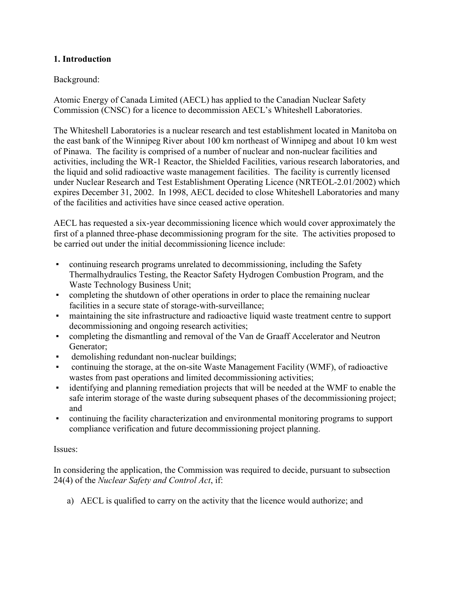## **1. Introduction**

## Background:

Atomic Energy of Canada Limited (AECL) has applied to the Canadian Nuclear Safety Commission (CNSC) for a licence to decommission AECL's Whiteshell Laboratories.

The Whiteshell Laboratories is a nuclear research and test establishment located in Manitoba on the east bank of the Winnipeg River about 100 km northeast of Winnipeg and about 10 km west of Pinawa. The facility is comprised of a number of nuclear and non-nuclear facilities and activities, including the WR-1 Reactor, the Shielded Facilities, various research laboratories, and the liquid and solid radioactive waste management facilities. The facility is currently licensed under Nuclear Research and Test Establishment Operating Licence (NRTEOL-2.01/2002) which expires December 31, 2002. In 1998, AECL decided to close Whiteshell Laboratories and many of the facilities and activities have since ceased active operation.

AECL has requested a six-year decommissioning licence which would cover approximately the first of a planned three-phase decommissioning program for the site. The activities proposed to be carried out under the initial decommissioning licence include:

- continuing research programs unrelated to decommissioning, including the Safety Thermalhydraulics Testing, the Reactor Safety Hydrogen Combustion Program, and the Waste Technology Business Unit;
- completing the shutdown of other operations in order to place the remaining nuclear facilities in a secure state of storage-with-surveillance;
- maintaining the site infrastructure and radioactive liquid waste treatment centre to support decommissioning and ongoing research activities;
- completing the dismantling and removal of the Van de Graaff Accelerator and Neutron Generator;
- demolishing redundant non-nuclear buildings;
- continuing the storage, at the on-site Waste Management Facility (WMF), of radioactive wastes from past operations and limited decommissioning activities;
- identifying and planning remediation projects that will be needed at the WMF to enable the safe interim storage of the waste during subsequent phases of the decommissioning project; and
- continuing the facility characterization and environmental monitoring programs to support compliance verification and future decommissioning project planning.

## Issues:

In considering the application, the Commission was required to decide, pursuant to subsection 24(4) of the *Nuclear Safety and Control Act*, if:

a) AECL is qualified to carry on the activity that the licence would authorize; and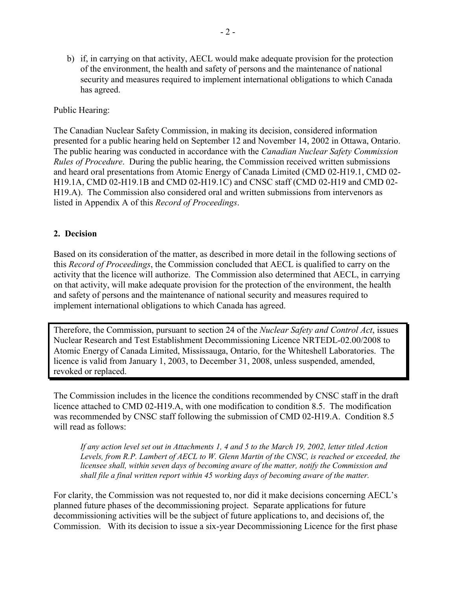b) if, in carrying on that activity, AECL would make adequate provision for the protection of the environment, the health and safety of persons and the maintenance of national security and measures required to implement international obligations to which Canada has agreed.

#### Public Hearing:

The Canadian Nuclear Safety Commission, in making its decision, considered information presented for a public hearing held on September 12 and November 14, 2002 in Ottawa, Ontario. The public hearing was conducted in accordance with the *Canadian Nuclear Safety Commission Rules of Procedure*. During the public hearing, the Commission received written submissions and heard oral presentations from Atomic Energy of Canada Limited (CMD 02-H19.1, CMD 02- H19.1A, CMD 02-H19.1B and CMD 02-H19.1C) and CNSC staff (CMD 02-H19 and CMD 02- H19.A). The Commission also considered oral and written submissions from intervenors as listed in Appendix A of this *Record of Proceedings*.

#### **2. Decision**

Based on its consideration of the matter, as described in more detail in the following sections of this *Record of Proceedings*, the Commission concluded that AECL is qualified to carry on the activity that the licence will authorize. The Commission also determined that AECL, in carrying on that activity, will make adequate provision for the protection of the environment, the health and safety of persons and the maintenance of national security and measures required to implement international obligations to which Canada has agreed.

Therefore, the Commission, pursuant to section 24 of the *Nuclear Safety and Control Act*, issues Nuclear Research and Test Establishment Decommissioning Licence NRTEDL-02.00/2008 to Atomic Energy of Canada Limited, Mississauga, Ontario, for the Whiteshell Laboratories. The licence is valid from January 1, 2003, to December 31, 2008, unless suspended, amended, revoked or replaced.

The Commission includes in the licence the conditions recommended by CNSC staff in the draft licence attached to CMD 02-H19.A, with one modification to condition 8.5. The modification was recommended by CNSC staff following the submission of CMD 02-H19.A. Condition 8.5 will read as follows:

*If any action level set out in Attachments 1, 4 and 5 to the March 19, 2002, letter titled Action Levels, from R.P. Lambert of AECL to W. Glenn Martin of the CNSC, is reached or exceeded, the licensee shall, within seven days of becoming aware of the matter, notify the Commission and shall file a final written report within 45 working days of becoming aware of the matter.* 

For clarity, the Commission was not requested to, nor did it make decisions concerning AECL's planned future phases of the decommissioning project. Separate applications for future decommissioning activities will be the subject of future applications to, and decisions of, the Commission. With its decision to issue a six-year Decommissioning Licence for the first phase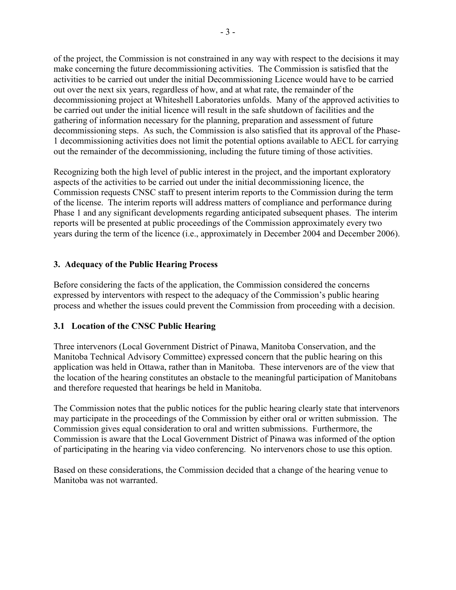of the project, the Commission is not constrained in any way with respect to the decisions it may make concerning the future decommissioning activities. The Commission is satisfied that the activities to be carried out under the initial Decommissioning Licence would have to be carried out over the next six years, regardless of how, and at what rate, the remainder of the decommissioning project at Whiteshell Laboratories unfolds. Many of the approved activities to be carried out under the initial licence will result in the safe shutdown of facilities and the gathering of information necessary for the planning, preparation and assessment of future decommissioning steps. As such, the Commission is also satisfied that its approval of the Phase-1 decommissioning activities does not limit the potential options available to AECL for carrying out the remainder of the decommissioning, including the future timing of those activities.

Recognizing both the high level of public interest in the project, and the important exploratory aspects of the activities to be carried out under the initial decommissioning licence, the Commission requests CNSC staff to present interim reports to the Commission during the term of the license. The interim reports will address matters of compliance and performance during Phase 1 and any significant developments regarding anticipated subsequent phases. The interim reports will be presented at public proceedings of the Commission approximately every two years during the term of the licence (i.e., approximately in December 2004 and December 2006).

## **3. Adequacy of the Public Hearing Process**

Before considering the facts of the application, the Commission considered the concerns expressed by interventors with respect to the adequacy of the Commission's public hearing process and whether the issues could prevent the Commission from proceeding with a decision.

## **3.1 Location of the CNSC Public Hearing**

Three intervenors (Local Government District of Pinawa, Manitoba Conservation, and the Manitoba Technical Advisory Committee) expressed concern that the public hearing on this application was held in Ottawa, rather than in Manitoba. These intervenors are of the view that the location of the hearing constitutes an obstacle to the meaningful participation of Manitobans and therefore requested that hearings be held in Manitoba.

The Commission notes that the public notices for the public hearing clearly state that intervenors may participate in the proceedings of the Commission by either oral or written submission. The Commission gives equal consideration to oral and written submissions. Furthermore, the Commission is aware that the Local Government District of Pinawa was informed of the option of participating in the hearing via video conferencing. No intervenors chose to use this option.

Based on these considerations, the Commission decided that a change of the hearing venue to Manitoba was not warranted.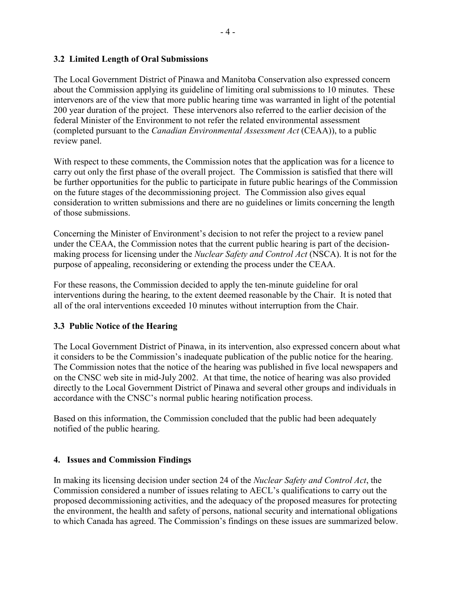## **3.2 Limited Length of Oral Submissions**

The Local Government District of Pinawa and Manitoba Conservation also expressed concern about the Commission applying its guideline of limiting oral submissions to 10 minutes. These intervenors are of the view that more public hearing time was warranted in light of the potential 200 year duration of the project. These intervenors also referred to the earlier decision of the federal Minister of the Environment to not refer the related environmental assessment (completed pursuant to the *Canadian Environmental Assessment Act* (CEAA)), to a public review panel.

With respect to these comments, the Commission notes that the application was for a licence to carry out only the first phase of the overall project. The Commission is satisfied that there will be further opportunities for the public to participate in future public hearings of the Commission on the future stages of the decommissioning project. The Commission also gives equal consideration to written submissions and there are no guidelines or limits concerning the length of those submissions.

Concerning the Minister of Environment's decision to not refer the project to a review panel under the CEAA, the Commission notes that the current public hearing is part of the decisionmaking process for licensing under the *Nuclear Safety and Control Act* (NSCA). It is not for the purpose of appealing, reconsidering or extending the process under the CEAA.

For these reasons, the Commission decided to apply the ten-minute guideline for oral interventions during the hearing, to the extent deemed reasonable by the Chair. It is noted that all of the oral interventions exceeded 10 minutes without interruption from the Chair.

# **3.3 Public Notice of the Hearing**

The Local Government District of Pinawa, in its intervention, also expressed concern about what it considers to be the Commission's inadequate publication of the public notice for the hearing. The Commission notes that the notice of the hearing was published in five local newspapers and on the CNSC web site in mid-July 2002. At that time, the notice of hearing was also provided directly to the Local Government District of Pinawa and several other groups and individuals in accordance with the CNSC's normal public hearing notification process.

Based on this information, the Commission concluded that the public had been adequately notified of the public hearing.

## **4. Issues and Commission Findings**

In making its licensing decision under section 24 of the *Nuclear Safety and Control Act*, the Commission considered a number of issues relating to AECL's qualifications to carry out the proposed decommissioning activities, and the adequacy of the proposed measures for protecting the environment, the health and safety of persons, national security and international obligations to which Canada has agreed. The Commission's findings on these issues are summarized below.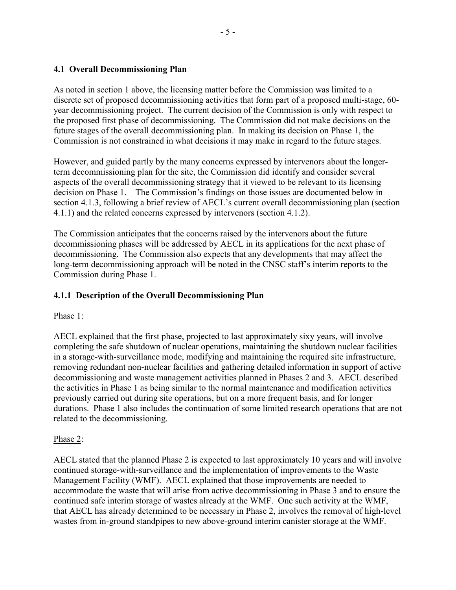## **4.1 Overall Decommissioning Plan**

As noted in section 1 above, the licensing matter before the Commission was limited to a discrete set of proposed decommissioning activities that form part of a proposed multi-stage, 60 year decommissioning project. The current decision of the Commission is only with respect to the proposed first phase of decommissioning. The Commission did not make decisions on the future stages of the overall decommissioning plan. In making its decision on Phase 1, the Commission is not constrained in what decisions it may make in regard to the future stages.

However, and guided partly by the many concerns expressed by intervenors about the longerterm decommissioning plan for the site, the Commission did identify and consider several aspects of the overall decommissioning strategy that it viewed to be relevant to its licensing decision on Phase 1. The Commission's findings on those issues are documented below in section 4.1.3, following a brief review of AECL's current overall decommissioning plan (section 4.1.1) and the related concerns expressed by intervenors (section 4.1.2).

The Commission anticipates that the concerns raised by the intervenors about the future decommissioning phases will be addressed by AECL in its applications for the next phase of decommissioning. The Commission also expects that any developments that may affect the long-term decommissioning approach will be noted in the CNSC staff's interim reports to the Commission during Phase 1.

#### **4.1.1 Description of the Overall Decommissioning Plan**

#### Phase 1:

AECL explained that the first phase, projected to last approximately sixy years, will involve completing the safe shutdown of nuclear operations, maintaining the shutdown nuclear facilities in a storage-with-surveillance mode, modifying and maintaining the required site infrastructure, removing redundant non-nuclear facilities and gathering detailed information in support of active decommissioning and waste management activities planned in Phases 2 and 3. AECL described the activities in Phase 1 as being similar to the normal maintenance and modification activities previously carried out during site operations, but on a more frequent basis, and for longer durations. Phase 1 also includes the continuation of some limited research operations that are not related to the decommissioning.

#### Phase 2:

AECL stated that the planned Phase 2 is expected to last approximately 10 years and will involve continued storage-with-surveillance and the implementation of improvements to the Waste Management Facility (WMF). AECL explained that those improvements are needed to accommodate the waste that will arise from active decommissioning in Phase 3 and to ensure the continued safe interim storage of wastes already at the WMF. One such activity at the WMF, that AECL has already determined to be necessary in Phase 2, involves the removal of high-level wastes from in-ground standpipes to new above-ground interim canister storage at the WMF.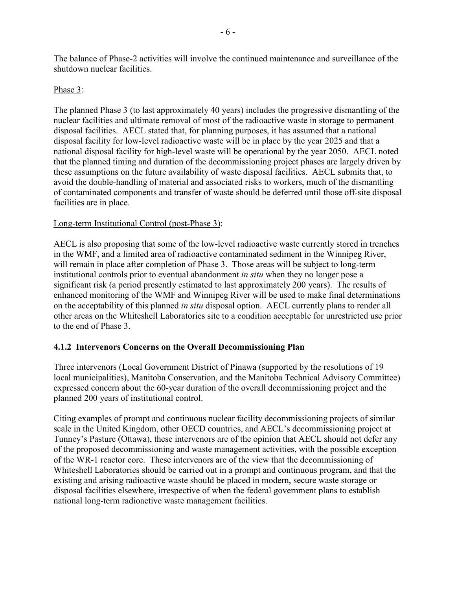The balance of Phase-2 activities will involve the continued maintenance and surveillance of the shutdown nuclear facilities.

#### Phase 3:

The planned Phase 3 (to last approximately 40 years) includes the progressive dismantling of the nuclear facilities and ultimate removal of most of the radioactive waste in storage to permanent disposal facilities. AECL stated that, for planning purposes, it has assumed that a national disposal facility for low-level radioactive waste will be in place by the year 2025 and that a national disposal facility for high-level waste will be operational by the year 2050. AECL noted that the planned timing and duration of the decommissioning project phases are largely driven by these assumptions on the future availability of waste disposal facilities. AECL submits that, to avoid the double-handling of material and associated risks to workers, much of the dismantling of contaminated components and transfer of waste should be deferred until those off-site disposal facilities are in place.

#### Long-term Institutional Control (post-Phase 3):

AECL is also proposing that some of the low-level radioactive waste currently stored in trenches in the WMF, and a limited area of radioactive contaminated sediment in the Winnipeg River, will remain in place after completion of Phase 3. Those areas will be subject to long-term institutional controls prior to eventual abandonment *in situ* when they no longer pose a significant risk (a period presently estimated to last approximately 200 years). The results of enhanced monitoring of the WMF and Winnipeg River will be used to make final determinations on the acceptability of this planned *in situ* disposal option. AECL currently plans to render all other areas on the Whiteshell Laboratories site to a condition acceptable for unrestricted use prior to the end of Phase 3.

## **4.1.2 Intervenors Concerns on the Overall Decommissioning Plan**

Three intervenors (Local Government District of Pinawa (supported by the resolutions of 19 local municipalities), Manitoba Conservation, and the Manitoba Technical Advisory Committee) expressed concern about the 60-year duration of the overall decommissioning project and the planned 200 years of institutional control.

Citing examples of prompt and continuous nuclear facility decommissioning projects of similar scale in the United Kingdom, other OECD countries, and AECL's decommissioning project at Tunney's Pasture (Ottawa), these intervenors are of the opinion that AECL should not defer any of the proposed decommissioning and waste management activities, with the possible exception of the WR-1 reactor core. These intervenors are of the view that the decommissioning of Whiteshell Laboratories should be carried out in a prompt and continuous program, and that the existing and arising radioactive waste should be placed in modern, secure waste storage or disposal facilities elsewhere, irrespective of when the federal government plans to establish national long-term radioactive waste management facilities.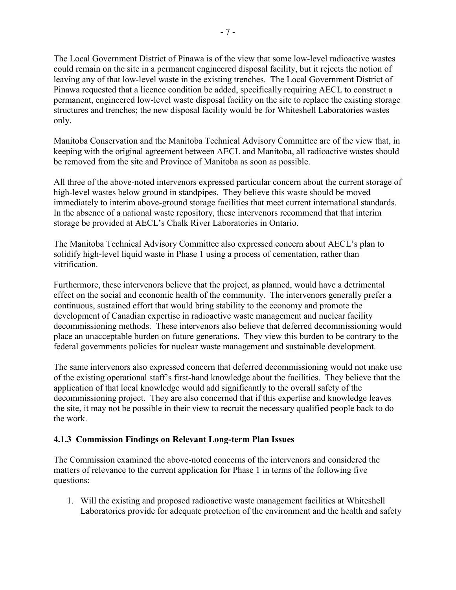The Local Government District of Pinawa is of the view that some low-level radioactive wastes could remain on the site in a permanent engineered disposal facility, but it rejects the notion of leaving any of that low-level waste in the existing trenches. The Local Government District of Pinawa requested that a licence condition be added, specifically requiring AECL to construct a permanent, engineered low-level waste disposal facility on the site to replace the existing storage structures and trenches; the new disposal facility would be for Whiteshell Laboratories wastes only.

Manitoba Conservation and the Manitoba Technical Advisory Committee are of the view that, in keeping with the original agreement between AECL and Manitoba, all radioactive wastes should be removed from the site and Province of Manitoba as soon as possible.

All three of the above-noted intervenors expressed particular concern about the current storage of high-level wastes below ground in standpipes. They believe this waste should be moved immediately to interim above-ground storage facilities that meet current international standards. In the absence of a national waste repository, these intervenors recommend that that interim storage be provided at AECL's Chalk River Laboratories in Ontario.

The Manitoba Technical Advisory Committee also expressed concern about AECL's plan to solidify high-level liquid waste in Phase 1 using a process of cementation, rather than vitrification.

Furthermore, these intervenors believe that the project, as planned, would have a detrimental effect on the social and economic health of the community. The intervenors generally prefer a continuous, sustained effort that would bring stability to the economy and promote the development of Canadian expertise in radioactive waste management and nuclear facility decommissioning methods. These intervenors also believe that deferred decommissioning would place an unacceptable burden on future generations. They view this burden to be contrary to the federal governments policies for nuclear waste management and sustainable development.

The same intervenors also expressed concern that deferred decommissioning would not make use of the existing operational staff's first-hand knowledge about the facilities. They believe that the application of that local knowledge would add significantly to the overall safety of the decommissioning project. They are also concerned that if this expertise and knowledge leaves the site, it may not be possible in their view to recruit the necessary qualified people back to do the work.

## **4.1.3 Commission Findings on Relevant Long-term Plan Issues**

The Commission examined the above-noted concerns of the intervenors and considered the matters of relevance to the current application for Phase 1 in terms of the following five questions:

1. Will the existing and proposed radioactive waste management facilities at Whiteshell Laboratories provide for adequate protection of the environment and the health and safety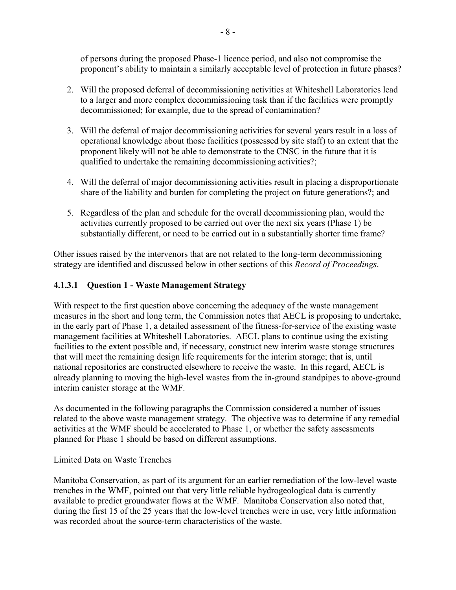of persons during the proposed Phase-1 licence period, and also not compromise the proponent's ability to maintain a similarly acceptable level of protection in future phases?

- 2. Will the proposed deferral of decommissioning activities at Whiteshell Laboratories lead to a larger and more complex decommissioning task than if the facilities were promptly decommissioned; for example, due to the spread of contamination?
- 3. Will the deferral of major decommissioning activities for several years result in a loss of operational knowledge about those facilities (possessed by site staff) to an extent that the proponent likely will not be able to demonstrate to the CNSC in the future that it is qualified to undertake the remaining decommissioning activities?;
- 4. Will the deferral of major decommissioning activities result in placing a disproportionate share of the liability and burden for completing the project on future generations?; and
- 5. Regardless of the plan and schedule for the overall decommissioning plan, would the activities currently proposed to be carried out over the next six years (Phase 1) be substantially different, or need to be carried out in a substantially shorter time frame?

Other issues raised by the intervenors that are not related to the long-term decommissioning strategy are identified and discussed below in other sections of this *Record of Proceedings*.

# **4.1.3.1 Question 1 - Waste Management Strategy**

With respect to the first question above concerning the adequacy of the waste management measures in the short and long term, the Commission notes that AECL is proposing to undertake, in the early part of Phase 1, a detailed assessment of the fitness-for-service of the existing waste management facilities at Whiteshell Laboratories. AECL plans to continue using the existing facilities to the extent possible and, if necessary, construct new interim waste storage structures that will meet the remaining design life requirements for the interim storage; that is, until national repositories are constructed elsewhere to receive the waste. In this regard, AECL is already planning to moving the high-level wastes from the in-ground standpipes to above-ground interim canister storage at the WMF.

As documented in the following paragraphs the Commission considered a number of issues related to the above waste management strategy. The objective was to determine if any remedial activities at the WMF should be accelerated to Phase 1, or whether the safety assessments planned for Phase 1 should be based on different assumptions.

## Limited Data on Waste Trenches

Manitoba Conservation, as part of its argument for an earlier remediation of the low-level waste trenches in the WMF, pointed out that very little reliable hydrogeological data is currently available to predict groundwater flows at the WMF. Manitoba Conservation also noted that, during the first 15 of the 25 years that the low-level trenches were in use, very little information was recorded about the source-term characteristics of the waste.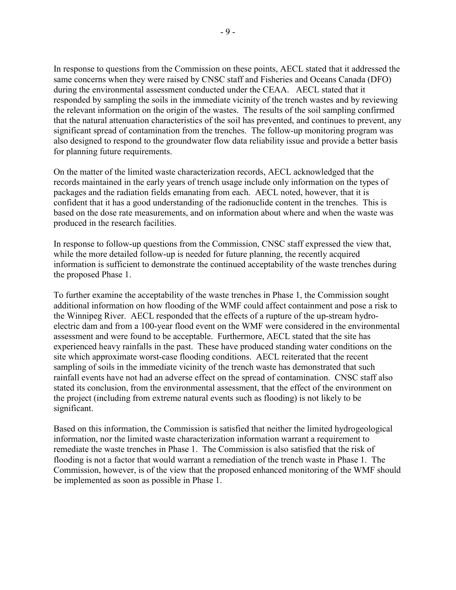In response to questions from the Commission on these points, AECL stated that it addressed the same concerns when they were raised by CNSC staff and Fisheries and Oceans Canada (DFO) during the environmental assessment conducted under the CEAA. AECL stated that it responded by sampling the soils in the immediate vicinity of the trench wastes and by reviewing the relevant information on the origin of the wastes. The results of the soil sampling confirmed that the natural attenuation characteristics of the soil has prevented, and continues to prevent, any significant spread of contamination from the trenches. The follow-up monitoring program was also designed to respond to the groundwater flow data reliability issue and provide a better basis for planning future requirements.

On the matter of the limited waste characterization records, AECL acknowledged that the records maintained in the early years of trench usage include only information on the types of packages and the radiation fields emanating from each. AECL noted, however, that it is confident that it has a good understanding of the radionuclide content in the trenches. This is based on the dose rate measurements, and on information about where and when the waste was produced in the research facilities.

In response to follow-up questions from the Commission, CNSC staff expressed the view that, while the more detailed follow-up is needed for future planning, the recently acquired information is sufficient to demonstrate the continued acceptability of the waste trenches during the proposed Phase 1.

To further examine the acceptability of the waste trenches in Phase 1, the Commission sought additional information on how flooding of the WMF could affect containment and pose a risk to the Winnipeg River. AECL responded that the effects of a rupture of the up-stream hydroelectric dam and from a 100-year flood event on the WMF were considered in the environmental assessment and were found to be acceptable. Furthermore, AECL stated that the site has experienced heavy rainfalls in the past. These have produced standing water conditions on the site which approximate worst-case flooding conditions. AECL reiterated that the recent sampling of soils in the immediate vicinity of the trench waste has demonstrated that such rainfall events have not had an adverse effect on the spread of contamination. CNSC staff also stated its conclusion, from the environmental assessment, that the effect of the environment on the project (including from extreme natural events such as flooding) is not likely to be significant.

Based on this information, the Commission is satisfied that neither the limited hydrogeological information, nor the limited waste characterization information warrant a requirement to remediate the waste trenches in Phase 1. The Commission is also satisfied that the risk of flooding is not a factor that would warrant a remediation of the trench waste in Phase 1. The Commission, however, is of the view that the proposed enhanced monitoring of the WMF should be implemented as soon as possible in Phase 1.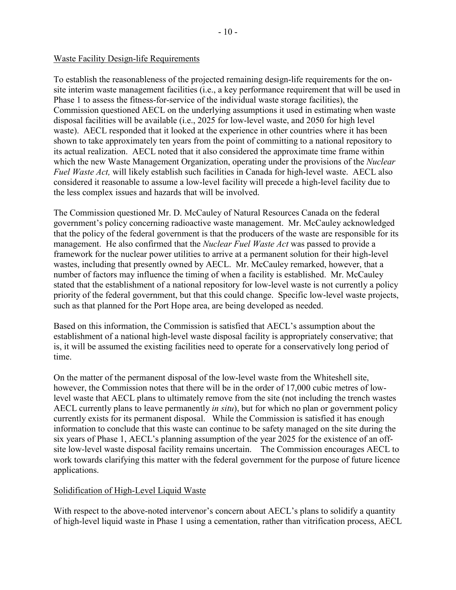#### Waste Facility Design-life Requirements

To establish the reasonableness of the projected remaining design-life requirements for the onsite interim waste management facilities (i.e., a key performance requirement that will be used in Phase 1 to assess the fitness-for-service of the individual waste storage facilities), the Commission questioned AECL on the underlying assumptions it used in estimating when waste disposal facilities will be available (i.e., 2025 for low-level waste, and 2050 for high level waste). AECL responded that it looked at the experience in other countries where it has been shown to take approximately ten years from the point of committing to a national repository to its actual realization. AECL noted that it also considered the approximate time frame within which the new Waste Management Organization, operating under the provisions of the *Nuclear Fuel Waste Act,* will likely establish such facilities in Canada for high-level waste. AECL also considered it reasonable to assume a low-level facility will precede a high-level facility due to the less complex issues and hazards that will be involved.

The Commission questioned Mr. D. McCauley of Natural Resources Canada on the federal government's policy concerning radioactive waste management. Mr. McCauley acknowledged that the policy of the federal government is that the producers of the waste are responsible for its management. He also confirmed that the *Nuclear Fuel Waste Act* was passed to provide a framework for the nuclear power utilities to arrive at a permanent solution for their high-level wastes, including that presently owned by AECL. Mr. McCauley remarked, however, that a number of factors may influence the timing of when a facility is established. Mr. McCauley stated that the establishment of a national repository for low-level waste is not currently a policy priority of the federal government, but that this could change. Specific low-level waste projects, such as that planned for the Port Hope area, are being developed as needed.

Based on this information, the Commission is satisfied that AECL's assumption about the establishment of a national high-level waste disposal facility is appropriately conservative; that is, it will be assumed the existing facilities need to operate for a conservatively long period of time.

On the matter of the permanent disposal of the low-level waste from the Whiteshell site, however, the Commission notes that there will be in the order of 17,000 cubic metres of lowlevel waste that AECL plans to ultimately remove from the site (not including the trench wastes AECL currently plans to leave permanently *in situ*), but for which no plan or government policy currently exists for its permanent disposal. While the Commission is satisfied it has enough information to conclude that this waste can continue to be safety managed on the site during the six years of Phase 1, AECL's planning assumption of the year 2025 for the existence of an offsite low-level waste disposal facility remains uncertain. The Commission encourages AECL to work towards clarifying this matter with the federal government for the purpose of future licence applications.

#### Solidification of High-Level Liquid Waste

With respect to the above-noted intervenor's concern about AECL's plans to solidify a quantity of high-level liquid waste in Phase 1 using a cementation, rather than vitrification process, AECL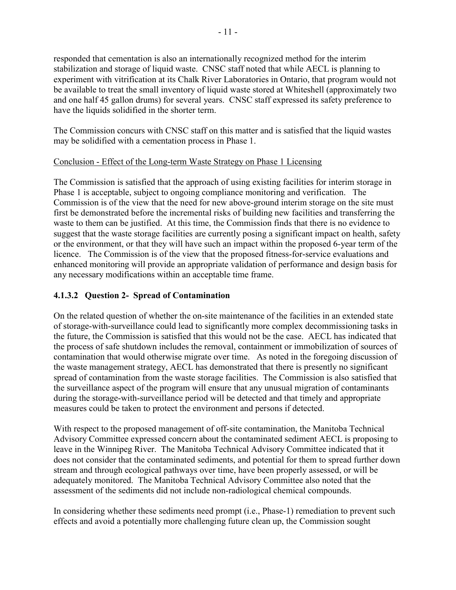responded that cementation is also an internationally recognized method for the interim stabilization and storage of liquid waste. CNSC staff noted that while AECL is planning to experiment with vitrification at its Chalk River Laboratories in Ontario, that program would not be available to treat the small inventory of liquid waste stored at Whiteshell (approximately two and one half 45 gallon drums) for several years. CNSC staff expressed its safety preference to have the liquids solidified in the shorter term.

The Commission concurs with CNSC staff on this matter and is satisfied that the liquid wastes may be solidified with a cementation process in Phase 1.

## Conclusion - Effect of the Long-term Waste Strategy on Phase 1 Licensing

The Commission is satisfied that the approach of using existing facilities for interim storage in Phase 1 is acceptable, subject to ongoing compliance monitoring and verification. The Commission is of the view that the need for new above-ground interim storage on the site must first be demonstrated before the incremental risks of building new facilities and transferring the waste to them can be justified. At this time, the Commission finds that there is no evidence to suggest that the waste storage facilities are currently posing a significant impact on health, safety or the environment, or that they will have such an impact within the proposed 6-year term of the licence. The Commission is of the view that the proposed fitness-for-service evaluations and enhanced monitoring will provide an appropriate validation of performance and design basis for any necessary modifications within an acceptable time frame.

# **4.1.3.2 Question 2- Spread of Contamination**

On the related question of whether the on-site maintenance of the facilities in an extended state of storage-with-surveillance could lead to significantly more complex decommissioning tasks in the future, the Commission is satisfied that this would not be the case. AECL has indicated that the process of safe shutdown includes the removal, containment or immobilization of sources of contamination that would otherwise migrate over time. As noted in the foregoing discussion of the waste management strategy, AECL has demonstrated that there is presently no significant spread of contamination from the waste storage facilities. The Commission is also satisfied that the surveillance aspect of the program will ensure that any unusual migration of contaminants during the storage-with-surveillance period will be detected and that timely and appropriate measures could be taken to protect the environment and persons if detected.

With respect to the proposed management of off-site contamination, the Manitoba Technical Advisory Committee expressed concern about the contaminated sediment AECL is proposing to leave in the Winnipeg River. The Manitoba Technical Advisory Committee indicated that it does not consider that the contaminated sediments, and potential for them to spread further down stream and through ecological pathways over time, have been properly assessed, or will be adequately monitored. The Manitoba Technical Advisory Committee also noted that the assessment of the sediments did not include non-radiological chemical compounds.

In considering whether these sediments need prompt (i.e., Phase-1) remediation to prevent such effects and avoid a potentially more challenging future clean up, the Commission sought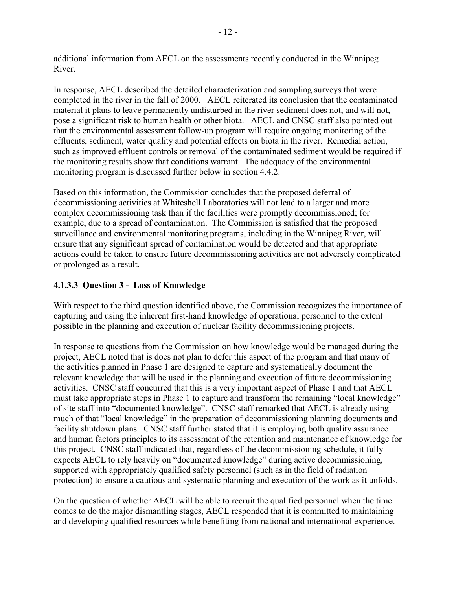additional information from AECL on the assessments recently conducted in the Winnipeg River.

In response, AECL described the detailed characterization and sampling surveys that were completed in the river in the fall of 2000. AECL reiterated its conclusion that the contaminated material it plans to leave permanently undisturbed in the river sediment does not, and will not, pose a significant risk to human health or other biota. AECL and CNSC staff also pointed out that the environmental assessment follow-up program will require ongoing monitoring of the effluents, sediment, water quality and potential effects on biota in the river. Remedial action, such as improved effluent controls or removal of the contaminated sediment would be required if the monitoring results show that conditions warrant. The adequacy of the environmental monitoring program is discussed further below in section 4.4.2.

Based on this information, the Commission concludes that the proposed deferral of decommissioning activities at Whiteshell Laboratories will not lead to a larger and more complex decommissioning task than if the facilities were promptly decommissioned; for example, due to a spread of contamination. The Commission is satisfied that the proposed surveillance and environmental monitoring programs, including in the Winnipeg River, will ensure that any significant spread of contamination would be detected and that appropriate actions could be taken to ensure future decommissioning activities are not adversely complicated or prolonged as a result.

# **4.1.3.3 Question 3 - Loss of Knowledge**

With respect to the third question identified above, the Commission recognizes the importance of capturing and using the inherent first-hand knowledge of operational personnel to the extent possible in the planning and execution of nuclear facility decommissioning projects.

In response to questions from the Commission on how knowledge would be managed during the project, AECL noted that is does not plan to defer this aspect of the program and that many of the activities planned in Phase 1 are designed to capture and systematically document the relevant knowledge that will be used in the planning and execution of future decommissioning activities. CNSC staff concurred that this is a very important aspect of Phase 1 and that AECL must take appropriate steps in Phase 1 to capture and transform the remaining "local knowledge" of site staff into "documented knowledge". CNSC staff remarked that AECL is already using much of that "local knowledge" in the preparation of decommissioning planning documents and facility shutdown plans. CNSC staff further stated that it is employing both quality assurance and human factors principles to its assessment of the retention and maintenance of knowledge for this project. CNSC staff indicated that, regardless of the decommissioning schedule, it fully expects AECL to rely heavily on "documented knowledge" during active decommissioning, supported with appropriately qualified safety personnel (such as in the field of radiation protection) to ensure a cautious and systematic planning and execution of the work as it unfolds.

On the question of whether AECL will be able to recruit the qualified personnel when the time comes to do the major dismantling stages, AECL responded that it is committed to maintaining and developing qualified resources while benefiting from national and international experience.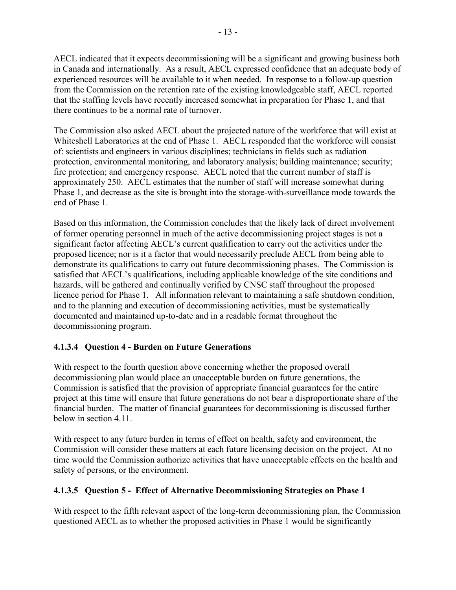AECL indicated that it expects decommissioning will be a significant and growing business both in Canada and internationally. As a result, AECL expressed confidence that an adequate body of experienced resources will be available to it when needed. In response to a follow-up question from the Commission on the retention rate of the existing knowledgeable staff, AECL reported that the staffing levels have recently increased somewhat in preparation for Phase 1, and that there continues to be a normal rate of turnover.

The Commission also asked AECL about the projected nature of the workforce that will exist at Whiteshell Laboratories at the end of Phase 1. AECL responded that the workforce will consist of: scientists and engineers in various disciplines; technicians in fields such as radiation protection, environmental monitoring, and laboratory analysis; building maintenance; security; fire protection; and emergency response. AECL noted that the current number of staff is approximately 250. AECL estimates that the number of staff will increase somewhat during Phase 1, and decrease as the site is brought into the storage-with-surveillance mode towards the end of Phase 1.

Based on this information, the Commission concludes that the likely lack of direct involvement of former operating personnel in much of the active decommissioning project stages is not a significant factor affecting AECL's current qualification to carry out the activities under the proposed licence; nor is it a factor that would necessarily preclude AECL from being able to demonstrate its qualifications to carry out future decommissioning phases. The Commission is satisfied that AECL's qualifications, including applicable knowledge of the site conditions and hazards, will be gathered and continually verified by CNSC staff throughout the proposed licence period for Phase 1. All information relevant to maintaining a safe shutdown condition, and to the planning and execution of decommissioning activities, must be systematically documented and maintained up-to-date and in a readable format throughout the decommissioning program.

# **4.1.3.4 Question 4 - Burden on Future Generations**

With respect to the fourth question above concerning whether the proposed overall decommissioning plan would place an unacceptable burden on future generations, the Commission is satisfied that the provision of appropriate financial guarantees for the entire project at this time will ensure that future generations do not bear a disproportionate share of the financial burden. The matter of financial guarantees for decommissioning is discussed further below in section 4.11.

With respect to any future burden in terms of effect on health, safety and environment, the Commission will consider these matters at each future licensing decision on the project. At no time would the Commission authorize activities that have unacceptable effects on the health and safety of persons, or the environment.

# **4.1.3.5 Question 5 - Effect of Alternative Decommissioning Strategies on Phase 1**

With respect to the fifth relevant aspect of the long-term decommissioning plan, the Commission questioned AECL as to whether the proposed activities in Phase 1 would be significantly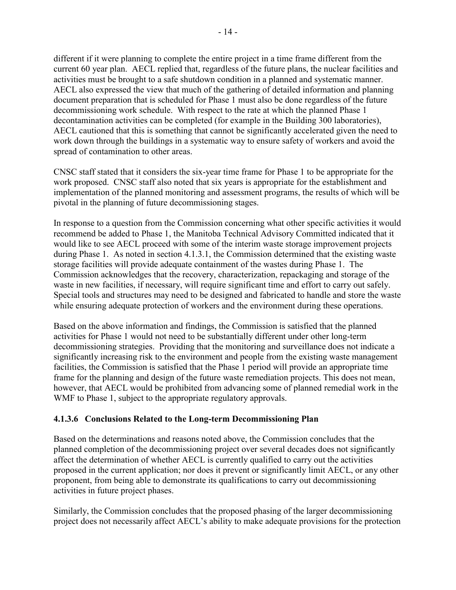different if it were planning to complete the entire project in a time frame different from the current 60 year plan. AECL replied that, regardless of the future plans, the nuclear facilities and activities must be brought to a safe shutdown condition in a planned and systematic manner. AECL also expressed the view that much of the gathering of detailed information and planning document preparation that is scheduled for Phase 1 must also be done regardless of the future decommissioning work schedule. With respect to the rate at which the planned Phase 1 decontamination activities can be completed (for example in the Building 300 laboratories), AECL cautioned that this is something that cannot be significantly accelerated given the need to work down through the buildings in a systematic way to ensure safety of workers and avoid the spread of contamination to other areas.

CNSC staff stated that it considers the six-year time frame for Phase 1 to be appropriate for the work proposed. CNSC staff also noted that six years is appropriate for the establishment and implementation of the planned monitoring and assessment programs, the results of which will be pivotal in the planning of future decommissioning stages.

In response to a question from the Commission concerning what other specific activities it would recommend be added to Phase 1, the Manitoba Technical Advisory Committed indicated that it would like to see AECL proceed with some of the interim waste storage improvement projects during Phase 1. As noted in section 4.1.3.1, the Commission determined that the existing waste storage facilities will provide adequate containment of the wastes during Phase 1. The Commission acknowledges that the recovery, characterization, repackaging and storage of the waste in new facilities, if necessary, will require significant time and effort to carry out safely. Special tools and structures may need to be designed and fabricated to handle and store the waste while ensuring adequate protection of workers and the environment during these operations.

Based on the above information and findings, the Commission is satisfied that the planned activities for Phase 1 would not need to be substantially different under other long-term decommissioning strategies. Providing that the monitoring and surveillance does not indicate a significantly increasing risk to the environment and people from the existing waste management facilities, the Commission is satisfied that the Phase 1 period will provide an appropriate time frame for the planning and design of the future waste remediation projects. This does not mean, however, that AECL would be prohibited from advancing some of planned remedial work in the WMF to Phase 1, subject to the appropriate regulatory approvals.

## **4.1.3.6 Conclusions Related to the Long-term Decommissioning Plan**

Based on the determinations and reasons noted above, the Commission concludes that the planned completion of the decommissioning project over several decades does not significantly affect the determination of whether AECL is currently qualified to carry out the activities proposed in the current application; nor does it prevent or significantly limit AECL, or any other proponent, from being able to demonstrate its qualifications to carry out decommissioning activities in future project phases.

Similarly, the Commission concludes that the proposed phasing of the larger decommissioning project does not necessarily affect AECL's ability to make adequate provisions for the protection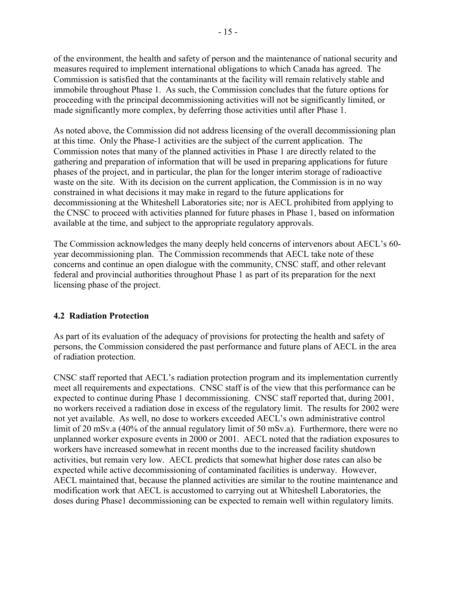of the environment, the health and safety of person and the maintenance of national security and measures required to implement international obligations to which Canada has agreed. The Commission is satisfied that the contaminants at the facility will remain relatively stable and immobile throughout Phase 1. As such, the Commission concludes that the future options for proceeding with the principal decommissioning activities will not be significantly limited, or made significantly more complex, by deferring those activities until after Phase 1.

As noted above, the Commission did not address licensing of the overall decommissioning plan at this time. Only the Phase-1 activities are the subject of the current application. The Commission notes that many of the planned activities in Phase 1 are directly related to the gathering and preparation of information that will be used in preparing applications for future phases of the project, and in particular, the plan for the longer interim storage of radioactive waste on the site. With its decision on the current application, the Commission is in no way constrained in what decisions it may make in regard to the future applications for decommissioning at the Whiteshell Laboratories site; nor is AECL prohibited from applying to the CNSC to proceed with activities planned for future phases in Phase 1, based on information available at the time, and subject to the appropriate regulatory approvals.

The Commission acknowledges the many deeply held concerns of intervenors about AECL's 60 year decommissioning plan. The Commission recommends that AECL take note of these concerns and continue an open dialogue with the community, CNSC staff, and other relevant federal and provincial authorities throughout Phase 1 as part of its preparation for the next licensing phase of the project.

## **4.2 Radiation Protection**

As part of its evaluation of the adequacy of provisions for protecting the health and safety of persons, the Commission considered the past performance and future plans of AECL in the area of radiation protection.

CNSC staff reported that AECL's radiation protection program and its implementation currently meet all requirements and expectations. CNSC staff is of the view that this performance can be expected to continue during Phase 1 decommissioning. CNSC staff reported that, during 2001, no workers received a radiation dose in excess of the regulatory limit. The results for 2002 were not yet available. As well, no dose to workers exceeded AECL's own administrative control limit of 20 mSv.a (40% of the annual regulatory limit of 50 mSv.a). Furthermore, there were no unplanned worker exposure events in 2000 or 2001. AECL noted that the radiation exposures to workers have increased somewhat in recent months due to the increased facility shutdown activities, but remain very low. AECL predicts that somewhat higher dose rates can also be expected while active decommissioning of contaminated facilities is underway. However, AECL maintained that, because the planned activities are similar to the routine maintenance and modification work that AECL is accustomed to carrying out at Whiteshell Laboratories, the doses during Phase1 decommissioning can be expected to remain well within regulatory limits.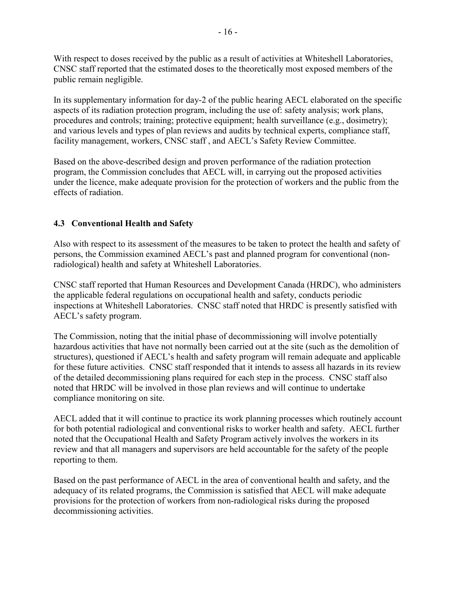With respect to doses received by the public as a result of activities at Whiteshell Laboratories, CNSC staff reported that the estimated doses to the theoretically most exposed members of the public remain negligible.

In its supplementary information for day-2 of the public hearing AECL elaborated on the specific aspects of its radiation protection program, including the use of: safety analysis; work plans, procedures and controls; training; protective equipment; health surveillance (e.g., dosimetry); and various levels and types of plan reviews and audits by technical experts, compliance staff, facility management, workers, CNSC staff , and AECL's Safety Review Committee.

Based on the above-described design and proven performance of the radiation protection program, the Commission concludes that AECL will, in carrying out the proposed activities under the licence, make adequate provision for the protection of workers and the public from the effects of radiation.

# **4.3 Conventional Health and Safety**

Also with respect to its assessment of the measures to be taken to protect the health and safety of persons, the Commission examined AECL's past and planned program for conventional (nonradiological) health and safety at Whiteshell Laboratories.

CNSC staff reported that Human Resources and Development Canada (HRDC), who administers the applicable federal regulations on occupational health and safety, conducts periodic inspections at Whiteshell Laboratories. CNSC staff noted that HRDC is presently satisfied with AECL's safety program.

The Commission, noting that the initial phase of decommissioning will involve potentially hazardous activities that have not normally been carried out at the site (such as the demolition of structures), questioned if AECL's health and safety program will remain adequate and applicable for these future activities. CNSC staff responded that it intends to assess all hazards in its review of the detailed decommissioning plans required for each step in the process. CNSC staff also noted that HRDC will be involved in those plan reviews and will continue to undertake compliance monitoring on site.

AECL added that it will continue to practice its work planning processes which routinely account for both potential radiological and conventional risks to worker health and safety. AECL further noted that the Occupational Health and Safety Program actively involves the workers in its review and that all managers and supervisors are held accountable for the safety of the people reporting to them.

Based on the past performance of AECL in the area of conventional health and safety, and the adequacy of its related programs, the Commission is satisfied that AECL will make adequate provisions for the protection of workers from non-radiological risks during the proposed decommissioning activities.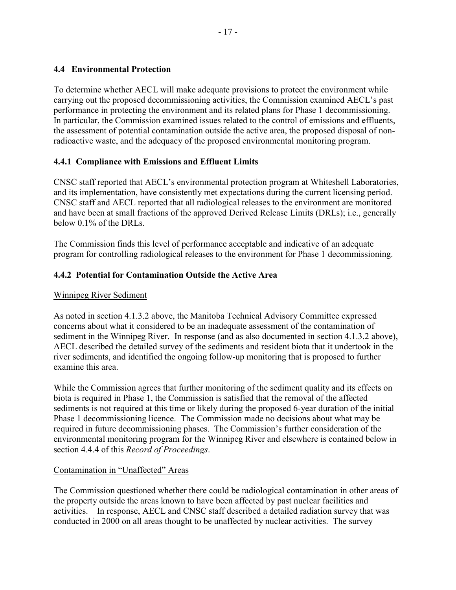## **4.4 Environmental Protection**

To determine whether AECL will make adequate provisions to protect the environment while carrying out the proposed decommissioning activities, the Commission examined AECL's past performance in protecting the environment and its related plans for Phase 1 decommissioning. In particular, the Commission examined issues related to the control of emissions and effluents, the assessment of potential contamination outside the active area, the proposed disposal of nonradioactive waste, and the adequacy of the proposed environmental monitoring program.

## **4.4.1 Compliance with Emissions and Effluent Limits**

CNSC staff reported that AECL's environmental protection program at Whiteshell Laboratories, and its implementation, have consistently met expectations during the current licensing period. CNSC staff and AECL reported that all radiological releases to the environment are monitored and have been at small fractions of the approved Derived Release Limits (DRLs); i.e., generally below 0.1% of the DRLs.

The Commission finds this level of performance acceptable and indicative of an adequate program for controlling radiological releases to the environment for Phase 1 decommissioning.

## **4.4.2 Potential for Contamination Outside the Active Area**

## Winnipeg River Sediment

As noted in section 4.1.3.2 above, the Manitoba Technical Advisory Committee expressed concerns about what it considered to be an inadequate assessment of the contamination of sediment in the Winnipeg River. In response (and as also documented in section 4.1.3.2 above), AECL described the detailed survey of the sediments and resident biota that it undertook in the river sediments, and identified the ongoing follow-up monitoring that is proposed to further examine this area.

While the Commission agrees that further monitoring of the sediment quality and its effects on biota is required in Phase 1, the Commission is satisfied that the removal of the affected sediments is not required at this time or likely during the proposed 6-year duration of the initial Phase 1 decommissioning licence. The Commission made no decisions about what may be required in future decommissioning phases. The Commission's further consideration of the environmental monitoring program for the Winnipeg River and elsewhere is contained below in section 4.4.4 of this *Record of Proceedings*.

## Contamination in "Unaffected" Areas

The Commission questioned whether there could be radiological contamination in other areas of the property outside the areas known to have been affected by past nuclear facilities and activities. In response, AECL and CNSC staff described a detailed radiation survey that was conducted in 2000 on all areas thought to be unaffected by nuclear activities. The survey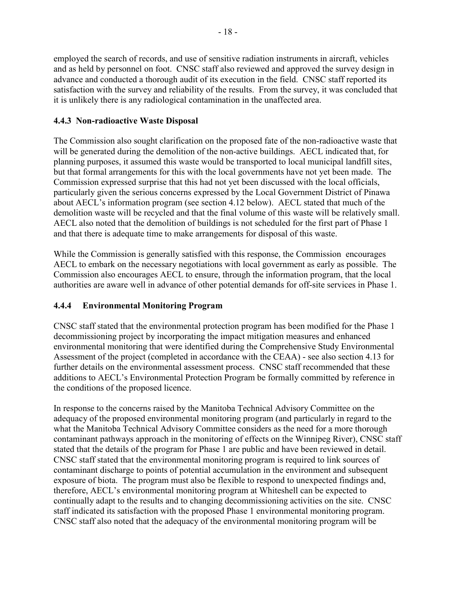employed the search of records, and use of sensitive radiation instruments in aircraft, vehicles and as held by personnel on foot. CNSC staff also reviewed and approved the survey design in advance and conducted a thorough audit of its execution in the field. CNSC staff reported its satisfaction with the survey and reliability of the results. From the survey, it was concluded that it is unlikely there is any radiological contamination in the unaffected area.

## **4.4.3 Non-radioactive Waste Disposal**

The Commission also sought clarification on the proposed fate of the non-radioactive waste that will be generated during the demolition of the non-active buildings. AECL indicated that, for planning purposes, it assumed this waste would be transported to local municipal landfill sites, but that formal arrangements for this with the local governments have not yet been made. The Commission expressed surprise that this had not yet been discussed with the local officials, particularly given the serious concerns expressed by the Local Government District of Pinawa about AECL's information program (see section 4.12 below). AECL stated that much of the demolition waste will be recycled and that the final volume of this waste will be relatively small. AECL also noted that the demolition of buildings is not scheduled for the first part of Phase 1 and that there is adequate time to make arrangements for disposal of this waste.

While the Commission is generally satisfied with this response, the Commission encourages AECL to embark on the necessary negotiations with local government as early as possible. The Commission also encourages AECL to ensure, through the information program, that the local authorities are aware well in advance of other potential demands for off-site services in Phase 1.

# **4.4.4 Environmental Monitoring Program**

CNSC staff stated that the environmental protection program has been modified for the Phase 1 decommissioning project by incorporating the impact mitigation measures and enhanced environmental monitoring that were identified during the Comprehensive Study Environmental Assessment of the project (completed in accordance with the CEAA) - see also section 4.13 for further details on the environmental assessment process. CNSC staff recommended that these additions to AECL's Environmental Protection Program be formally committed by reference in the conditions of the proposed licence.

In response to the concerns raised by the Manitoba Technical Advisory Committee on the adequacy of the proposed environmental monitoring program (and particularly in regard to the what the Manitoba Technical Advisory Committee considers as the need for a more thorough contaminant pathways approach in the monitoring of effects on the Winnipeg River), CNSC staff stated that the details of the program for Phase 1 are public and have been reviewed in detail. CNSC staff stated that the environmental monitoring program is required to link sources of contaminant discharge to points of potential accumulation in the environment and subsequent exposure of biota. The program must also be flexible to respond to unexpected findings and, therefore, AECL's environmental monitoring program at Whiteshell can be expected to continually adapt to the results and to changing decommissioning activities on the site. CNSC staff indicated its satisfaction with the proposed Phase 1 environmental monitoring program. CNSC staff also noted that the adequacy of the environmental monitoring program will be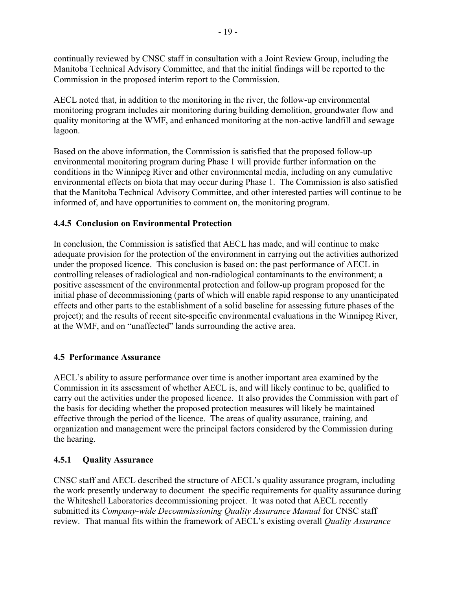continually reviewed by CNSC staff in consultation with a Joint Review Group, including the Manitoba Technical Advisory Committee, and that the initial findings will be reported to the Commission in the proposed interim report to the Commission.

AECL noted that, in addition to the monitoring in the river, the follow-up environmental monitoring program includes air monitoring during building demolition, groundwater flow and quality monitoring at the WMF, and enhanced monitoring at the non-active landfill and sewage lagoon.

Based on the above information, the Commission is satisfied that the proposed follow-up environmental monitoring program during Phase 1 will provide further information on the conditions in the Winnipeg River and other environmental media, including on any cumulative environmental effects on biota that may occur during Phase 1. The Commission is also satisfied that the Manitoba Technical Advisory Committee, and other interested parties will continue to be informed of, and have opportunities to comment on, the monitoring program.

## **4.4.5 Conclusion on Environmental Protection**

In conclusion, the Commission is satisfied that AECL has made, and will continue to make adequate provision for the protection of the environment in carrying out the activities authorized under the proposed licence. This conclusion is based on: the past performance of AECL in controlling releases of radiological and non-radiological contaminants to the environment; a positive assessment of the environmental protection and follow-up program proposed for the initial phase of decommissioning (parts of which will enable rapid response to any unanticipated effects and other parts to the establishment of a solid baseline for assessing future phases of the project); and the results of recent site-specific environmental evaluations in the Winnipeg River, at the WMF, and on "unaffected" lands surrounding the active area.

## **4.5 Performance Assurance**

AECL's ability to assure performance over time is another important area examined by the Commission in its assessment of whether AECL is, and will likely continue to be, qualified to carry out the activities under the proposed licence. It also provides the Commission with part of the basis for deciding whether the proposed protection measures will likely be maintained effective through the period of the licence. The areas of quality assurance, training, and organization and management were the principal factors considered by the Commission during the hearing.

## **4.5.1 Quality Assurance**

CNSC staff and AECL described the structure of AECL's quality assurance program, including the work presently underway to document the specific requirements for quality assurance during the Whiteshell Laboratories decommissioning project. It was noted that AECL recently submitted its *Company-wide Decommissioning Quality Assurance Manual* for CNSC staff review. That manual fits within the framework of AECL's existing overall *Quality Assurance*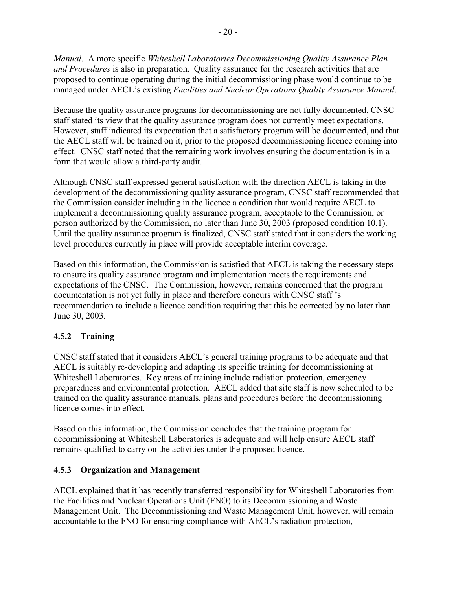*Manual*. A more specific *Whiteshell Laboratories Decommissioning Quality Assurance Plan and Procedures* is also in preparation. Quality assurance for the research activities that are proposed to continue operating during the initial decommissioning phase would continue to be managed under AECL's existing *Facilities and Nuclear Operations Quality Assurance Manual*.

Because the quality assurance programs for decommissioning are not fully documented, CNSC staff stated its view that the quality assurance program does not currently meet expectations. However, staff indicated its expectation that a satisfactory program will be documented, and that the AECL staff will be trained on it, prior to the proposed decommissioning licence coming into effect. CNSC staff noted that the remaining work involves ensuring the documentation is in a form that would allow a third-party audit.

Although CNSC staff expressed general satisfaction with the direction AECL is taking in the development of the decommissioning quality assurance program, CNSC staff recommended that the Commission consider including in the licence a condition that would require AECL to implement a decommissioning quality assurance program, acceptable to the Commission, or person authorized by the Commission, no later than June 30, 2003 (proposed condition 10.1). Until the quality assurance program is finalized, CNSC staff stated that it considers the working level procedures currently in place will provide acceptable interim coverage.

Based on this information, the Commission is satisfied that AECL is taking the necessary steps to ensure its quality assurance program and implementation meets the requirements and expectations of the CNSC. The Commission, however, remains concerned that the program documentation is not yet fully in place and therefore concurs with CNSC staff 's recommendation to include a licence condition requiring that this be corrected by no later than June 30, 2003.

# **4.5.2 Training**

CNSC staff stated that it considers AECL's general training programs to be adequate and that AECL is suitably re-developing and adapting its specific training for decommissioning at Whiteshell Laboratories. Key areas of training include radiation protection, emergency preparedness and environmental protection. AECL added that site staff is now scheduled to be trained on the quality assurance manuals, plans and procedures before the decommissioning licence comes into effect.

Based on this information, the Commission concludes that the training program for decommissioning at Whiteshell Laboratories is adequate and will help ensure AECL staff remains qualified to carry on the activities under the proposed licence.

## **4.5.3 Organization and Management**

AECL explained that it has recently transferred responsibility for Whiteshell Laboratories from the Facilities and Nuclear Operations Unit (FNO) to its Decommissioning and Waste Management Unit. The Decommissioning and Waste Management Unit, however, will remain accountable to the FNO for ensuring compliance with AECL's radiation protection,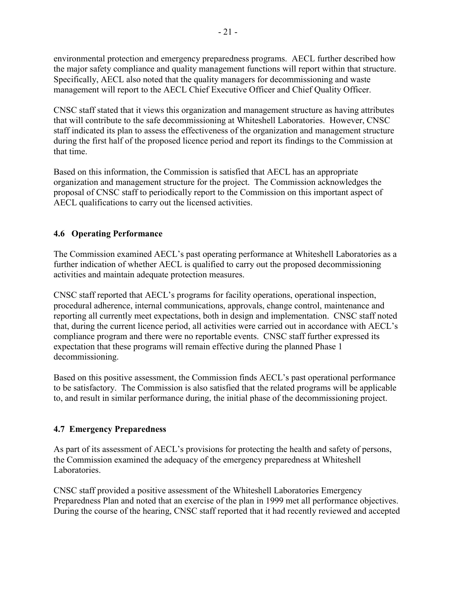environmental protection and emergency preparedness programs. AECL further described how the major safety compliance and quality management functions will report within that structure. Specifically, AECL also noted that the quality managers for decommissioning and waste management will report to the AECL Chief Executive Officer and Chief Quality Officer.

CNSC staff stated that it views this organization and management structure as having attributes that will contribute to the safe decommissioning at Whiteshell Laboratories. However, CNSC staff indicated its plan to assess the effectiveness of the organization and management structure during the first half of the proposed licence period and report its findings to the Commission at that time.

Based on this information, the Commission is satisfied that AECL has an appropriate organization and management structure for the project. The Commission acknowledges the proposal of CNSC staff to periodically report to the Commission on this important aspect of AECL qualifications to carry out the licensed activities.

# **4.6 Operating Performance**

The Commission examined AECL's past operating performance at Whiteshell Laboratories as a further indication of whether AECL is qualified to carry out the proposed decommissioning activities and maintain adequate protection measures.

CNSC staff reported that AECL's programs for facility operations, operational inspection, procedural adherence, internal communications, approvals, change control, maintenance and reporting all currently meet expectations, both in design and implementation. CNSC staff noted that, during the current licence period, all activities were carried out in accordance with AECL's compliance program and there were no reportable events. CNSC staff further expressed its expectation that these programs will remain effective during the planned Phase 1 decommissioning.

Based on this positive assessment, the Commission finds AECL's past operational performance to be satisfactory. The Commission is also satisfied that the related programs will be applicable to, and result in similar performance during, the initial phase of the decommissioning project.

## **4.7 Emergency Preparedness**

As part of its assessment of AECL's provisions for protecting the health and safety of persons, the Commission examined the adequacy of the emergency preparedness at Whiteshell Laboratories.

CNSC staff provided a positive assessment of the Whiteshell Laboratories Emergency Preparedness Plan and noted that an exercise of the plan in 1999 met all performance objectives. During the course of the hearing, CNSC staff reported that it had recently reviewed and accepted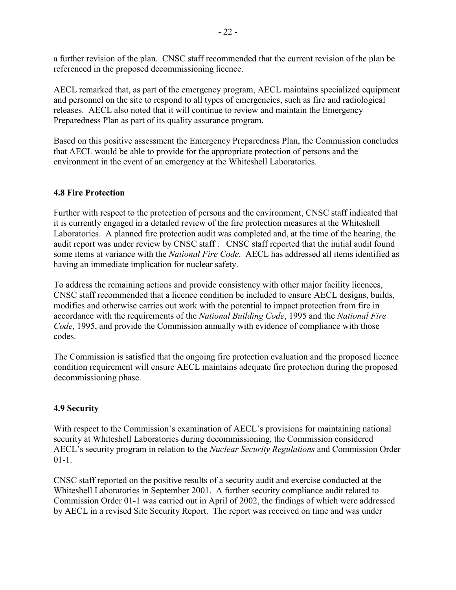a further revision of the plan. CNSC staff recommended that the current revision of the plan be referenced in the proposed decommissioning licence.

AECL remarked that, as part of the emergency program, AECL maintains specialized equipment and personnel on the site to respond to all types of emergencies, such as fire and radiological releases. AECL also noted that it will continue to review and maintain the Emergency Preparedness Plan as part of its quality assurance program.

Based on this positive assessment the Emergency Preparedness Plan, the Commission concludes that AECL would be able to provide for the appropriate protection of persons and the environment in the event of an emergency at the Whiteshell Laboratories.

## **4.8 Fire Protection**

Further with respect to the protection of persons and the environment, CNSC staff indicated that it is currently engaged in a detailed review of the fire protection measures at the Whiteshell Laboratories. A planned fire protection audit was completed and, at the time of the hearing, the audit report was under review by CNSC staff . CNSC staff reported that the initial audit found some items at variance with the *National Fire Code*. AECL has addressed all items identified as having an immediate implication for nuclear safety.

To address the remaining actions and provide consistency with other major facility licences, CNSC staff recommended that a licence condition be included to ensure AECL designs, builds, modifies and otherwise carries out work with the potential to impact protection from fire in accordance with the requirements of the *National Building Code*, 1995 and the *National Fire Code*, 1995, and provide the Commission annually with evidence of compliance with those codes.

The Commission is satisfied that the ongoing fire protection evaluation and the proposed licence condition requirement will ensure AECL maintains adequate fire protection during the proposed decommissioning phase.

# **4.9 Security**

With respect to the Commission's examination of AECL's provisions for maintaining national security at Whiteshell Laboratories during decommissioning, the Commission considered AECL's security program in relation to the *Nuclear Security Regulations* and Commission Order 01-1.

CNSC staff reported on the positive results of a security audit and exercise conducted at the Whiteshell Laboratories in September 2001. A further security compliance audit related to Commission Order 01-1 was carried out in April of 2002, the findings of which were addressed by AECL in a revised Site Security Report. The report was received on time and was under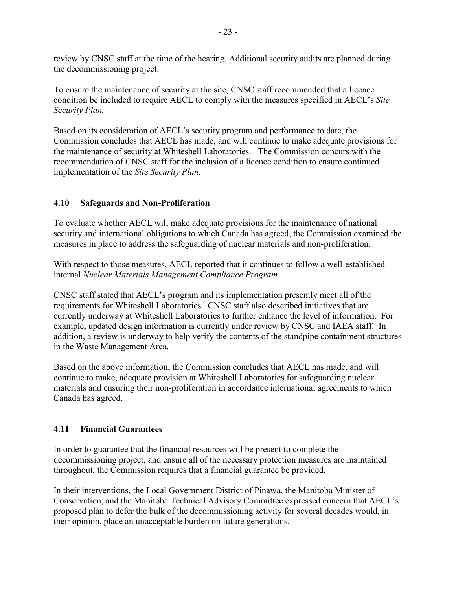review by CNSC staff at the time of the hearing. Additional security audits are planned during the decommissioning project.

To ensure the maintenance of security at the site, CNSC staff recommended that a licence condition be included to require AECL to comply with the measures specified in AECL's *Site Security Plan.*

Based on its consideration of AECL's security program and performance to date, the Commission concludes that AECL has made, and will continue to make adequate provisions for the maintenance of security at Whiteshell Laboratories. The Commission concurs with the recommendation of CNSC staff for the inclusion of a licence condition to ensure continued implementation of the *Site Security Plan*.

## **4.10 Safeguards and Non-Proliferation**

To evaluate whether AECL will make adequate provisions for the maintenance of national security and international obligations to which Canada has agreed, the Commission examined the measures in place to address the safeguarding of nuclear materials and non-proliferation.

With respect to those measures, AECL reported that it continues to follow a well-established internal *Nuclear Materials Management Compliance Program.*

CNSC staff stated that AECL's program and its implementation presently meet all of the requirements for Whiteshell Laboratories. CNSC staff also described initiatives that are currently underway at Whiteshell Laboratories to further enhance the level of information. For example, updated design information is currently under review by CNSC and IAEA staff. In addition, a review is underway to help verify the contents of the standpipe containment structures in the Waste Management Area.

Based on the above information, the Commission concludes that AECL has made, and will continue to make, adequate provision at Whiteshell Laboratories for safeguarding nuclear materials and ensuring their non-proliferation in accordance international agreements to which Canada has agreed.

## **4.11 Financial Guarantees**

In order to guarantee that the financial resources will be present to complete the decommissioning project, and ensure all of the necessary protection measures are maintained throughout, the Commission requires that a financial guarantee be provided.

In their interventions, the Local Government District of Pinawa, the Manitoba Minister of Conservation, and the Manitoba Technical Advisory Committee expressed concern that AECL's proposed plan to defer the bulk of the decommissioning activity for several decades would, in their opinion, place an unacceptable burden on future generations.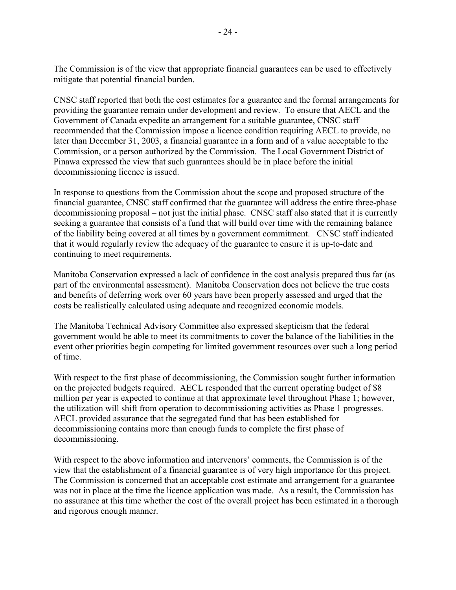The Commission is of the view that appropriate financial guarantees can be used to effectively mitigate that potential financial burden.

CNSC staff reported that both the cost estimates for a guarantee and the formal arrangements for providing the guarantee remain under development and review. To ensure that AECL and the Government of Canada expedite an arrangement for a suitable guarantee, CNSC staff recommended that the Commission impose a licence condition requiring AECL to provide, no later than December 31, 2003, a financial guarantee in a form and of a value acceptable to the Commission, or a person authorized by the Commission. The Local Government District of Pinawa expressed the view that such guarantees should be in place before the initial decommissioning licence is issued.

In response to questions from the Commission about the scope and proposed structure of the financial guarantee, CNSC staff confirmed that the guarantee will address the entire three-phase decommissioning proposal – not just the initial phase. CNSC staff also stated that it is currently seeking a guarantee that consists of a fund that will build over time with the remaining balance of the liability being covered at all times by a government commitment. CNSC staff indicated that it would regularly review the adequacy of the guarantee to ensure it is up-to-date and continuing to meet requirements.

Manitoba Conservation expressed a lack of confidence in the cost analysis prepared thus far (as part of the environmental assessment). Manitoba Conservation does not believe the true costs and benefits of deferring work over 60 years have been properly assessed and urged that the costs be realistically calculated using adequate and recognized economic models.

The Manitoba Technical Advisory Committee also expressed skepticism that the federal government would be able to meet its commitments to cover the balance of the liabilities in the event other priorities begin competing for limited government resources over such a long period of time.

With respect to the first phase of decommissioning, the Commission sought further information on the projected budgets required. AECL responded that the current operating budget of \$8 million per year is expected to continue at that approximate level throughout Phase 1; however, the utilization will shift from operation to decommissioning activities as Phase 1 progresses. AECL provided assurance that the segregated fund that has been established for decommissioning contains more than enough funds to complete the first phase of decommissioning.

With respect to the above information and intervenors' comments, the Commission is of the view that the establishment of a financial guarantee is of very high importance for this project. The Commission is concerned that an acceptable cost estimate and arrangement for a guarantee was not in place at the time the licence application was made. As a result, the Commission has no assurance at this time whether the cost of the overall project has been estimated in a thorough and rigorous enough manner.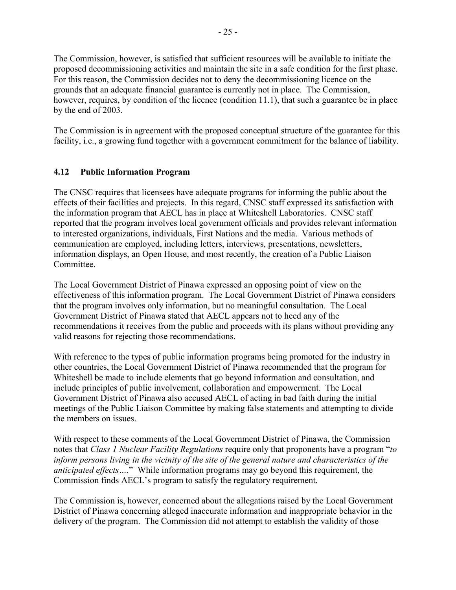The Commission, however, is satisfied that sufficient resources will be available to initiate the proposed decommissioning activities and maintain the site in a safe condition for the first phase. For this reason, the Commission decides not to deny the decommissioning licence on the grounds that an adequate financial guarantee is currently not in place. The Commission, however, requires, by condition of the licence (condition 11.1), that such a guarantee be in place by the end of 2003.

The Commission is in agreement with the proposed conceptual structure of the guarantee for this facility, i.e., a growing fund together with a government commitment for the balance of liability.

# **4.12 Public Information Program**

The CNSC requires that licensees have adequate programs for informing the public about the effects of their facilities and projects. In this regard, CNSC staff expressed its satisfaction with the information program that AECL has in place at Whiteshell Laboratories. CNSC staff reported that the program involves local government officials and provides relevant information to interested organizations, individuals, First Nations and the media. Various methods of communication are employed, including letters, interviews, presentations, newsletters, information displays, an Open House, and most recently, the creation of a Public Liaison **Committee** 

The Local Government District of Pinawa expressed an opposing point of view on the effectiveness of this information program. The Local Government District of Pinawa considers that the program involves only information, but no meaningful consultation. The Local Government District of Pinawa stated that AECL appears not to heed any of the recommendations it receives from the public and proceeds with its plans without providing any valid reasons for rejecting those recommendations.

With reference to the types of public information programs being promoted for the industry in other countries, the Local Government District of Pinawa recommended that the program for Whiteshell be made to include elements that go beyond information and consultation, and include principles of public involvement, collaboration and empowerment. The Local Government District of Pinawa also accused AECL of acting in bad faith during the initial meetings of the Public Liaison Committee by making false statements and attempting to divide the members on issues.

With respect to these comments of the Local Government District of Pinawa, the Commission notes that *Class 1 Nuclear Facility Regulations* require only that proponents have a program "*to inform persons living in the vicinity of the site of the general nature and characteristics of the anticipated effects….*" While information programs may go beyond this requirement, the Commission finds AECL's program to satisfy the regulatory requirement.

The Commission is, however, concerned about the allegations raised by the Local Government District of Pinawa concerning alleged inaccurate information and inappropriate behavior in the delivery of the program. The Commission did not attempt to establish the validity of those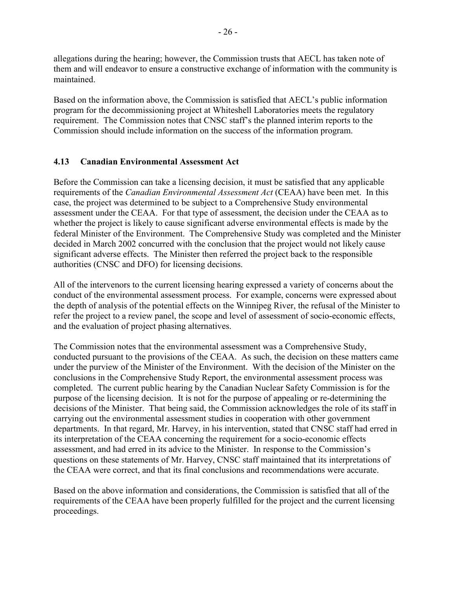allegations during the hearing; however, the Commission trusts that AECL has taken note of them and will endeavor to ensure a constructive exchange of information with the community is maintained.

Based on the information above, the Commission is satisfied that AECL's public information program for the decommissioning project at Whiteshell Laboratories meets the regulatory requirement. The Commission notes that CNSC staff's the planned interim reports to the Commission should include information on the success of the information program.

## **4.13 Canadian Environmental Assessment Act**

Before the Commission can take a licensing decision, it must be satisfied that any applicable requirements of the *Canadian Environmental Assessment Act* (CEAA) have been met. In this case, the project was determined to be subject to a Comprehensive Study environmental assessment under the CEAA. For that type of assessment, the decision under the CEAA as to whether the project is likely to cause significant adverse environmental effects is made by the federal Minister of the Environment. The Comprehensive Study was completed and the Minister decided in March 2002 concurred with the conclusion that the project would not likely cause significant adverse effects. The Minister then referred the project back to the responsible authorities (CNSC and DFO) for licensing decisions.

All of the intervenors to the current licensing hearing expressed a variety of concerns about the conduct of the environmental assessment process. For example, concerns were expressed about the depth of analysis of the potential effects on the Winnipeg River, the refusal of the Minister to refer the project to a review panel, the scope and level of assessment of socio-economic effects, and the evaluation of project phasing alternatives.

The Commission notes that the environmental assessment was a Comprehensive Study, conducted pursuant to the provisions of the CEAA. As such, the decision on these matters came under the purview of the Minister of the Environment. With the decision of the Minister on the conclusions in the Comprehensive Study Report, the environmental assessment process was completed. The current public hearing by the Canadian Nuclear Safety Commission is for the purpose of the licensing decision. It is not for the purpose of appealing or re-determining the decisions of the Minister. That being said, the Commission acknowledges the role of its staff in carrying out the environmental assessment studies in cooperation with other government departments. In that regard, Mr. Harvey, in his intervention, stated that CNSC staff had erred in its interpretation of the CEAA concerning the requirement for a socio-economic effects assessment, and had erred in its advice to the Minister. In response to the Commission's questions on these statements of Mr. Harvey, CNSC staff maintained that its interpretations of the CEAA were correct, and that its final conclusions and recommendations were accurate.

Based on the above information and considerations, the Commission is satisfied that all of the requirements of the CEAA have been properly fulfilled for the project and the current licensing proceedings.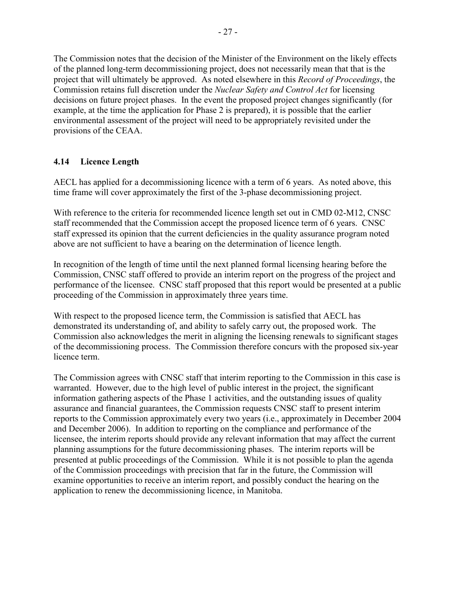The Commission notes that the decision of the Minister of the Environment on the likely effects of the planned long-term decommissioning project, does not necessarily mean that that is the project that will ultimately be approved. As noted elsewhere in this *Record of Proceedings*, the Commission retains full discretion under the *Nuclear Safety and Control Act* for licensing decisions on future project phases. In the event the proposed project changes significantly (for example, at the time the application for Phase 2 is prepared), it is possible that the earlier environmental assessment of the project will need to be appropriately revisited under the provisions of the CEAA.

## **4.14 Licence Length**

AECL has applied for a decommissioning licence with a term of 6 years. As noted above, this time frame will cover approximately the first of the 3-phase decommissioning project.

With reference to the criteria for recommended licence length set out in CMD 02-M12, CNSC staff recommended that the Commission accept the proposed licence term of 6 years. CNSC staff expressed its opinion that the current deficiencies in the quality assurance program noted above are not sufficient to have a bearing on the determination of licence length.

In recognition of the length of time until the next planned formal licensing hearing before the Commission, CNSC staff offered to provide an interim report on the progress of the project and performance of the licensee. CNSC staff proposed that this report would be presented at a public proceeding of the Commission in approximately three years time.

With respect to the proposed licence term, the Commission is satisfied that AECL has demonstrated its understanding of, and ability to safely carry out, the proposed work. The Commission also acknowledges the merit in aligning the licensing renewals to significant stages of the decommissioning process. The Commission therefore concurs with the proposed six-year licence term.

The Commission agrees with CNSC staff that interim reporting to the Commission in this case is warranted. However, due to the high level of public interest in the project, the significant information gathering aspects of the Phase 1 activities, and the outstanding issues of quality assurance and financial guarantees, the Commission requests CNSC staff to present interim reports to the Commission approximately every two years (i.e., approximately in December 2004 and December 2006). In addition to reporting on the compliance and performance of the licensee, the interim reports should provide any relevant information that may affect the current planning assumptions for the future decommissioning phases. The interim reports will be presented at public proceedings of the Commission. While it is not possible to plan the agenda of the Commission proceedings with precision that far in the future, the Commission will examine opportunities to receive an interim report, and possibly conduct the hearing on the application to renew the decommissioning licence, in Manitoba.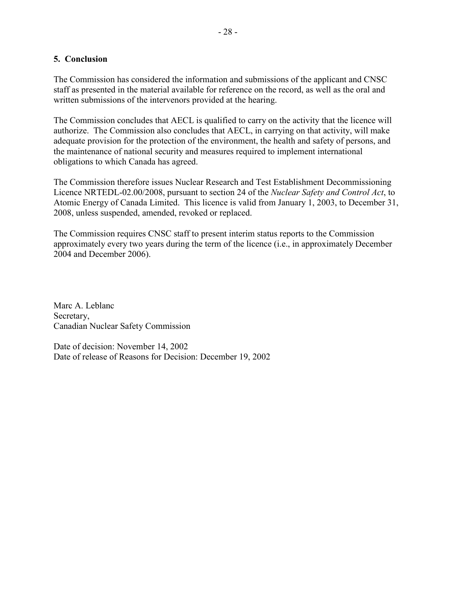#### **5. Conclusion**

The Commission has considered the information and submissions of the applicant and CNSC staff as presented in the material available for reference on the record, as well as the oral and written submissions of the intervenors provided at the hearing.

The Commission concludes that AECL is qualified to carry on the activity that the licence will authorize. The Commission also concludes that AECL, in carrying on that activity, will make adequate provision for the protection of the environment, the health and safety of persons, and the maintenance of national security and measures required to implement international obligations to which Canada has agreed.

The Commission therefore issues Nuclear Research and Test Establishment Decommissioning Licence NRTEDL-02.00/2008, pursuant to section 24 of the *Nuclear Safety and Control Act*, to Atomic Energy of Canada Limited. This licence is valid from January 1, 2003, to December 31, 2008, unless suspended, amended, revoked or replaced.

The Commission requires CNSC staff to present interim status reports to the Commission approximately every two years during the term of the licence (i.e., in approximately December 2004 and December 2006).

Marc A. Leblanc Secretary, Canadian Nuclear Safety Commission

Date of decision: November 14, 2002 Date of release of Reasons for Decision: December 19, 2002